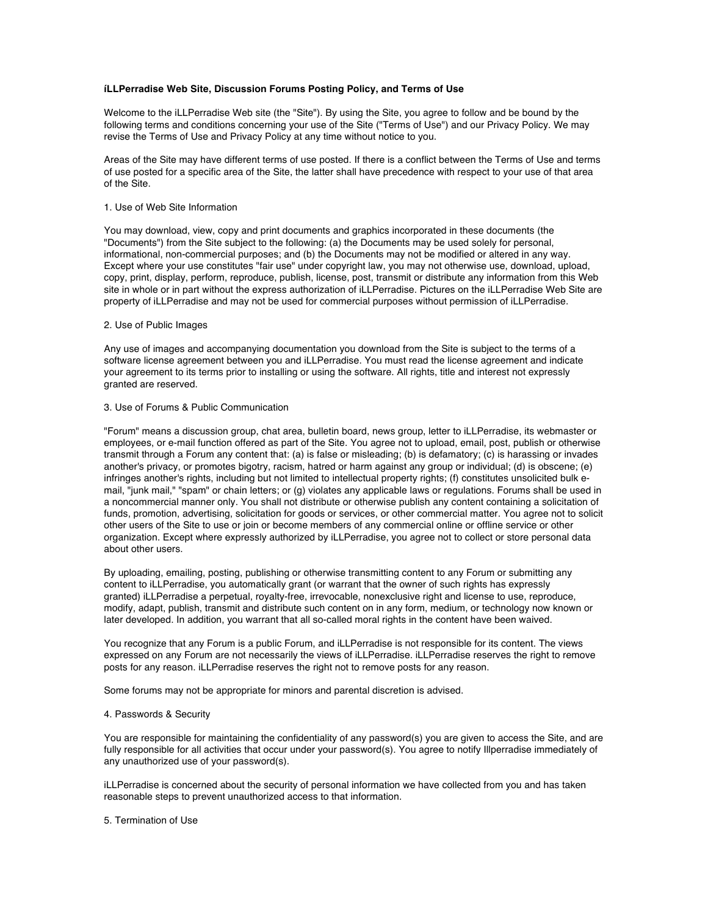# **íLLPerradise Web Site, Discussion Forums Posting Policy, and Terms of Use**

Welcome to the iLLPerradise Web site (the "Site"). By using the Site, you agree to follow and be bound by the following terms and conditions concerning your use of the Site ("Terms of Use") and our Privacy Policy. We may revise the Terms of Use and Privacy Policy at any time without notice to you.

Areas of the Site may have different terms of use posted. If there is a conflict between the Terms of Use and terms of use posted for a specific area of the Site, the latter shall have precedence with respect to your use of that area of the Site.

#### 1. Use of Web Site Information

You may download, view, copy and print documents and graphics incorporated in these documents (the "Documents") from the Site subject to the following: (a) the Documents may be used solely for personal, informational, non-commercial purposes; and (b) the Documents may not be modified or altered in any way. Except where your use constitutes "fair use" under copyright law, you may not otherwise use, download, upload, copy, print, display, perform, reproduce, publish, license, post, transmit or distribute any information from this Web site in whole or in part without the express authorization of iLLPerradise. Pictures on the iLLPerradise Web Site are property of iLLPerradise and may not be used for commercial purposes without permission of iLLPerradise.

## 2. Use of Public Images

Any use of images and accompanying documentation you download from the Site is subject to the terms of a software license agreement between you and iLLPerradise. You must read the license agreement and indicate your agreement to its terms prior to installing or using the software. All rights, title and interest not expressly granted are reserved.

# 3. Use of Forums & Public Communication

"Forum" means a discussion group, chat area, bulletin board, news group, letter to iLLPerradise, its webmaster or employees, or e-mail function offered as part of the Site. You agree not to upload, email, post, publish or otherwise transmit through a Forum any content that: (a) is false or misleading; (b) is defamatory; (c) is harassing or invades another's privacy, or promotes bigotry, racism, hatred or harm against any group or individual; (d) is obscene; (e) infringes another's rights, including but not limited to intellectual property rights; (f) constitutes unsolicited bulk email, "junk mail," "spam" or chain letters; or (g) violates any applicable laws or regulations. Forums shall be used in a noncommercial manner only. You shall not distribute or otherwise publish any content containing a solicitation of funds, promotion, advertising, solicitation for goods or services, or other commercial matter. You agree not to solicit other users of the Site to use or join or become members of any commercial online or offline service or other organization. Except where expressly authorized by iLLPerradise, you agree not to collect or store personal data about other users.

By uploading, emailing, posting, publishing or otherwise transmitting content to any Forum or submitting any content to iLLPerradise, you automatically grant (or warrant that the owner of such rights has expressly granted) iLLPerradise a perpetual, royalty-free, irrevocable, nonexclusive right and license to use, reproduce, modify, adapt, publish, transmit and distribute such content on in any form, medium, or technology now known or later developed. In addition, you warrant that all so-called moral rights in the content have been waived.

You recognize that any Forum is a public Forum, and iLLPerradise is not responsible for its content. The views expressed on any Forum are not necessarily the views of iLLPerradise. iLLPerradise reserves the right to remove posts for any reason. iLLPerradise reserves the right not to remove posts for any reason.

Some forums may not be appropriate for minors and parental discretion is advised.

# 4. Passwords & Security

You are responsible for maintaining the confidentiality of any password(s) you are given to access the Site, and are fully responsible for all activities that occur under your password(s). You agree to notify Illperradise immediately of any unauthorized use of your password(s).

iLLPerradise is concerned about the security of personal information we have collected from you and has taken reasonable steps to prevent unauthorized access to that information.

5. Termination of Use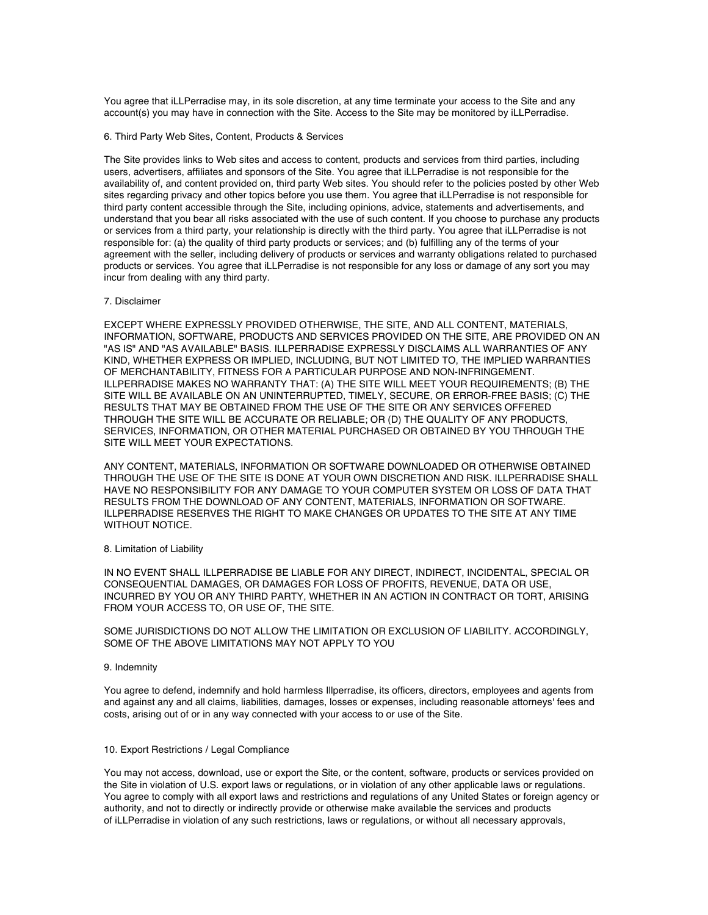You agree that iLLPerradise may, in its sole discretion, at any time terminate your access to the Site and any account(s) you may have in connection with the Site. Access to the Site may be monitored by iLLPerradise.

## 6. Third Party Web Sites, Content, Products & Services

The Site provides links to Web sites and access to content, products and services from third parties, including users, advertisers, affiliates and sponsors of the Site. You agree that iLLPerradise is not responsible for the availability of, and content provided on, third party Web sites. You should refer to the policies posted by other Web sites regarding privacy and other topics before you use them. You agree that iLLPerradise is not responsible for third party content accessible through the Site, including opinions, advice, statements and advertisements, and understand that you bear all risks associated with the use of such content. If you choose to purchase any products or services from a third party, your relationship is directly with the third party. You agree that iLLPerradise is not responsible for: (a) the quality of third party products or services; and (b) fulfilling any of the terms of your agreement with the seller, including delivery of products or services and warranty obligations related to purchased products or services. You agree that iLLPerradise is not responsible for any loss or damage of any sort you may incur from dealing with any third party.

## 7. Disclaimer

EXCEPT WHERE EXPRESSLY PROVIDED OTHERWISE, THE SITE, AND ALL CONTENT, MATERIALS, INFORMATION, SOFTWARE, PRODUCTS AND SERVICES PROVIDED ON THE SITE, ARE PROVIDED ON AN "AS IS" AND "AS AVAILABLE" BASIS. ILLPERRADISE EXPRESSLY DISCLAIMS ALL WARRANTIES OF ANY KIND, WHETHER EXPRESS OR IMPLIED, INCLUDING, BUT NOT LIMITED TO, THE IMPLIED WARRANTIES OF MERCHANTABILITY, FITNESS FOR A PARTICULAR PURPOSE AND NON-INFRINGEMENT. ILLPERRADISE MAKES NO WARRANTY THAT: (A) THE SITE WILL MEET YOUR REQUIREMENTS; (B) THE SITE WILL BE AVAILABLE ON AN UNINTERRUPTED, TIMELY, SECURE, OR ERROR-FREE BASIS; (C) THE RESULTS THAT MAY BE OBTAINED FROM THE USE OF THE SITE OR ANY SERVICES OFFERED THROUGH THE SITE WILL BE ACCURATE OR RELIABLE; OR (D) THE QUALITY OF ANY PRODUCTS, SERVICES, INFORMATION, OR OTHER MATERIAL PURCHASED OR OBTAINED BY YOU THROUGH THE SITE WILL MEET YOUR EXPECTATIONS.

ANY CONTENT, MATERIALS, INFORMATION OR SOFTWARE DOWNLOADED OR OTHERWISE OBTAINED THROUGH THE USE OF THE SITE IS DONE AT YOUR OWN DISCRETION AND RISK. ILLPERRADISE SHALL HAVE NO RESPONSIBILITY FOR ANY DAMAGE TO YOUR COMPUTER SYSTEM OR LOSS OF DATA THAT RESULTS FROM THE DOWNLOAD OF ANY CONTENT, MATERIALS, INFORMATION OR SOFTWARE. ILLPERRADISE RESERVES THE RIGHT TO MAKE CHANGES OR UPDATES TO THE SITE AT ANY TIME WITHOUT NOTICE.

#### 8. Limitation of Liability

IN NO EVENT SHALL ILLPERRADISE BE LIABLE FOR ANY DIRECT, INDIRECT, INCIDENTAL, SPECIAL OR CONSEQUENTIAL DAMAGES, OR DAMAGES FOR LOSS OF PROFITS, REVENUE, DATA OR USE, INCURRED BY YOU OR ANY THIRD PARTY, WHETHER IN AN ACTION IN CONTRACT OR TORT, ARISING FROM YOUR ACCESS TO, OR USE OF, THE SITE.

# SOME JURISDICTIONS DO NOT ALLOW THE LIMITATION OR EXCLUSION OF LIABILITY. ACCORDINGLY, SOME OF THE ABOVE LIMITATIONS MAY NOT APPLY TO YOU

#### 9. Indemnity

You agree to defend, indemnify and hold harmless Illperradise, its officers, directors, employees and agents from and against any and all claims, liabilities, damages, losses or expenses, including reasonable attorneys' fees and costs, arising out of or in any way connected with your access to or use of the Site.

## 10. Export Restrictions / Legal Compliance

You may not access, download, use or export the Site, or the content, software, products or services provided on the Site in violation of U.S. export laws or regulations, or in violation of any other applicable laws or regulations. You agree to comply with all export laws and restrictions and regulations of any United States or foreign agency or authority, and not to directly or indirectly provide or otherwise make available the services and products of iLLPerradise in violation of any such restrictions, laws or regulations, or without all necessary approvals,